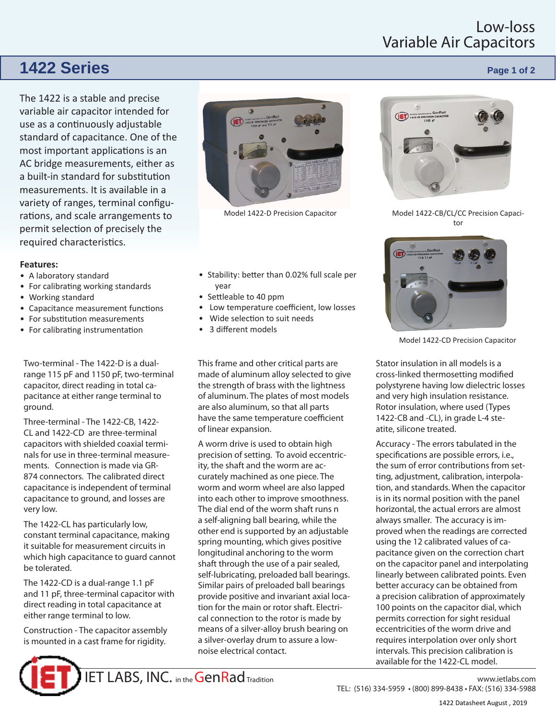## Low-loss Variable Air Capacitors

# **1422 Series Page 1 of 2 Page 1 of 2**

The 1422 is a stable and precise variable air capacitor intended for use as a continuously adjustable standard of capacitance. One of the most important applications is an AC bridge measurements, either as a built-in standard for substitution measurements. It is available in a variety of ranges, terminal configurations, and scale arrangements to permit selection of precisely the required characteristics.

### **Features:**

- A laboratory standard
- For calibrating working standards
- Working standard
- Capacitance measurement functions
- For substitution measurements
- For calibrating instrumentation

Two-terminal - The 1422-D is a dualrange 115 pF and 1150 pF, two-terminal capacitor, direct reading in total capacitance at either range terminal to ground.

Three-terminal - The 1422-CB, 1422- CL and 1422-CD are three-terminal capacitors with shielded coaxial terminals for use in three-terminal measurements. Connection is made via GR-874 connectors. The calibrated direct capacitance is independent of terminal capacitance to ground, and losses are very low.

The 1422-CL has particularly low, constant terminal capacitance, making it suitable for measurement circuits in which high capacitance to guard cannot be tolerated.

The 1422-CD is a dual-range 1.1 pF and 11 pF, three-terminal capacitor with direct reading in total capacitance at either range terminal to low.

Construction - The capacitor assembly is mounted in a cast frame for rigidity.





Model 1422-D Precision Capacitor

- Stability: better than 0.02% full scale per year
- Settleable to 40 ppm
- Low temperature coefficient, low losses
- Wide selection to suit needs
- 3 different models

This frame and other critical parts are made of aluminum alloy selected to give the strength of brass with the lightness of aluminum. The plates of most models are also aluminum, so that all parts have the same temperature coefficient of linear expansion.

A worm drive is used to obtain high precision of setting. To avoid eccentricity, the shaft and the worm are accurately machined as one piece. The worm and worm wheel are also lapped into each other to improve smoothness. The dial end of the worm shaft runs n a self-aligning ball bearing, while the other end is supported by an adjustable spring mounting, which gives positive longitudinal anchoring to the worm shaft through the use of a pair sealed, self-lubricating, preloaded ball bearings. Similar pairs of preloaded ball bearings provide positive and invariant axial location for the main or rotor shaft. Electrical connection to the rotor is made by means of a silver-alloy brush bearing on a silver-overlay drum to assure a lownoise electrical contact.



Model 1422-CB/CL/CC Precision Capacitor



Model 1422-CD Precision Capacitor

Stator insulation in all models is a cross-linked thermosetting modified polystyrene having low dielectric losses and very high insulation resistance. Rotor insulation, where used (Types 1422-CB and -CL), in grade L-4 steatite, silicone treated.

Accuracy - The errors tabulated in the specifications are possible errors, i.e., the sum of error contributions from setting, adjustment, calibration, interpolation, and standards. When the capacitor is in its normal position with the panel horizontal, the actual errors are almost always smaller. The accuracy is improved when the readings are corrected using the 12 calibrated values of capacitance given on the correction chart on the capacitor panel and interpolating linearly between calibrated points. Even better accuracy can be obtained from a precision calibration of approximately 100 points on the capacitor dial, which permits correction for sight residual eccentricities of the worm drive and requires interpolation over only short intervals. This precision calibration is available for the 1422-CL model.

TEL: (516) 334-5959 • (800) 899-8438 • FAX: (516) 334-5988 1422 Datasheet August , 2019